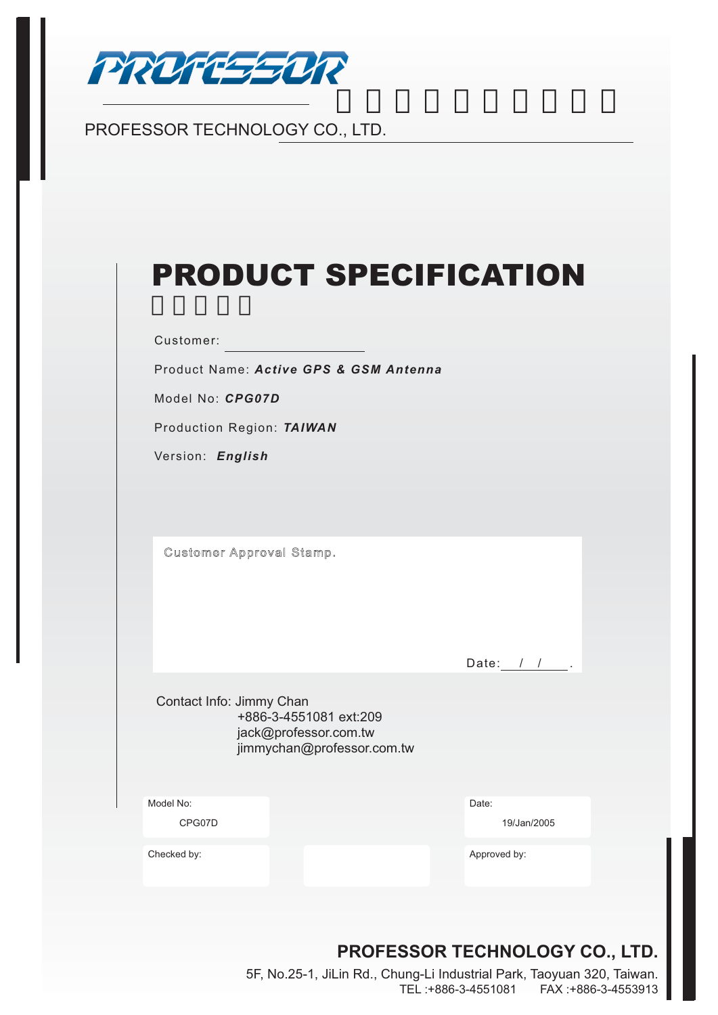

# PROFESSOR TECHNOLOGY CO., LTD.

| <b>PRODUCT SPECIFICATION</b> |  |  |  |
|------------------------------|--|--|--|
|                              |  |  |  |

Customer:

Product Name: *Active GPS & GSM Antenna*

Model No: *CPG07D*

Production Region: *TAIWAN*

Version: *English* 

Customer Approval Stamp.

Date:  $1 / 1$ .

Contact Info: Jimmy Chan +886-3-4551081 ext:209 jack@professor.com.tw jimmychan@professor.com.tw

Model No: Date:

CPG07D 19/Jan/2005

Checked by: Approved by: Approved by: Approved by: Approved by: Approved by: Approved by: Approved by: Approved by: Approved by: Approved by: Approved by: Approved by: Approved by: Approved by: Approved by: Approved by: Ap

## **PROFESSOR TECHNOLOGY CO., LTD.**

5F, No.25-1, JiLin Rd., Chung-Li Industrial Park, Taoyuan 320, Taiwan. TEL :+886-3-4551081 FAX :+886-3-4553913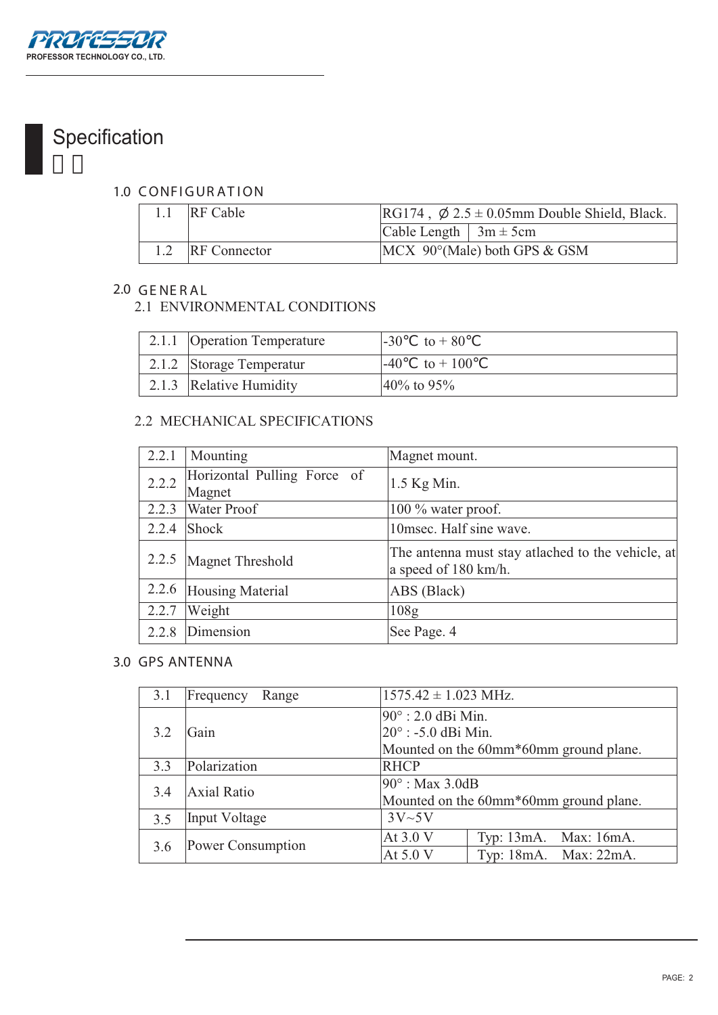

# Specification

#### 1.0 CONFIGURATION

| 1.1 RF Cable     | $RG174$ , $\emptyset$ 2.5 ± 0.05mm Double Shield, Black. |                                           |
|------------------|----------------------------------------------------------|-------------------------------------------|
|                  | Cable Length $\vert 3m \pm 5cm \vert$                    |                                           |
| 1.2 RF Connector |                                                          | $MCX$ 90 $^{\circ}$ (Male) both GPS & GSM |

#### **2.0 GE NE R AL**

#### 2.1 ENVIRONMENTAL CONDITIONS

| 2.1.1 Operation Temperature | $-30$<br>to $+80$         |
|-----------------------------|---------------------------|
| 2.1.2 Storage Temperatur    | $-40$<br>$\tau$ to $+100$ |
| 2.1.3 Relative Humidity     | $40\%$ to 95%             |

#### 2.2 MECHANICAL SPECIFICATIONS

| 2.2.1 | Mounting                              | Magnet mount.                                                             |
|-------|---------------------------------------|---------------------------------------------------------------------------|
| 2.2.2 | Horizontal Pulling Force of<br>Magnet | $1.5$ Kg Min.                                                             |
| 2.2.3 | <b>Water Proof</b>                    | 100 % water proof.                                                        |
| 2.2.4 | Shock                                 | 10msec. Half sine wave.                                                   |
|       | 2.2.5 Magnet Threshold                | The antenna must stay atlached to the vehicle, at<br>a speed of 180 km/h. |
| 2.2.6 | Housing Material                      | ABS (Black)                                                               |
| 2.2.7 | Weight                                | 108g                                                                      |
| 2.2.8 | Dimension                             | See Page. 4                                                               |

#### **3.0 GPS ANTENNA**

| 3.1 | Frequency<br>Range | $1575.42 \pm 1.023$ MHz.                                  |                                                |
|-----|--------------------|-----------------------------------------------------------|------------------------------------------------|
| 3.2 | Gain               | $90^\circ$ : 2.0 dBi Min.<br>$20^{\circ}$ : -5.0 dBi Min. | Mounted on the 60mm*60mm ground plane.         |
| 3.3 | Polarization       | <b>RHCP</b>                                               |                                                |
| 3.4 | <b>Axial Ratio</b> | $90^\circ$ : Max 3.0dB                                    | Mounted on the 60mm*60mm ground plane.         |
| 3.5 | Input Voltage      | 3V~5V                                                     |                                                |
| 3.6 | Power Consumption  | At 3.0 V<br>At $5.0V$                                     | Typ: 13mA. Max: 16mA.<br>Typ: 18mA. Max: 22mA. |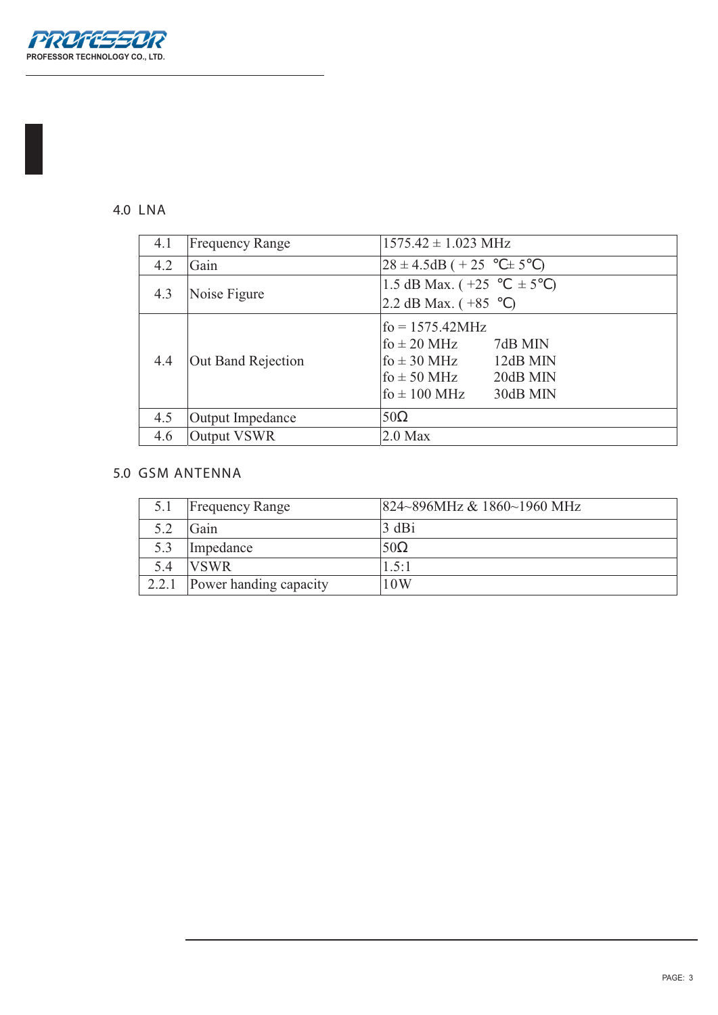

#### **4.0 LNA**

| 4.1 | <b>Frequency Range</b> | $1575.42 \pm 1.023 \text{ MHz}$                                                                                                                                 |
|-----|------------------------|-----------------------------------------------------------------------------------------------------------------------------------------------------------------|
| 4.2 | Gain                   | $28 \pm 4.5$ dB ( + 25<br>$\pm$ 5                                                                                                                               |
| 4.3 | Noise Figure           | 1.5 dB Max. $(+25)$<br>$\pm 5$ )<br>2.2 dB Max. $(+85)$                                                                                                         |
| 4.4 | Out Band Rejection     | $f_0 = 1575.42 MHz$<br>$f_0 \pm 20$ MHz<br>7dB MIN<br>fo $\pm$ 30 MHz<br>12dB MIN<br>$\text{fo} \pm 50 \text{ MHz}$<br>20dB MIN<br>fo $\pm$ 100 MHz<br>30dB MIN |
| 4.5 | Output Impedance       | 50                                                                                                                                                              |
| 4.6 | Output VSWR            | $2.0$ Max                                                                                                                                                       |

### **5.0 GSM ANTENNA**

| 5.1   | <b>Frequency Range</b> | 824~896MHz & 1860~1960 MHz |
|-------|------------------------|----------------------------|
| 5.2   | Gain                   | 3 dBi                      |
| 5.3   | Impedance              |                            |
| 5.4   | <b>VSWR</b>            | 1.5:1                      |
| 2.2.1 | Power handing capacity | 10W                        |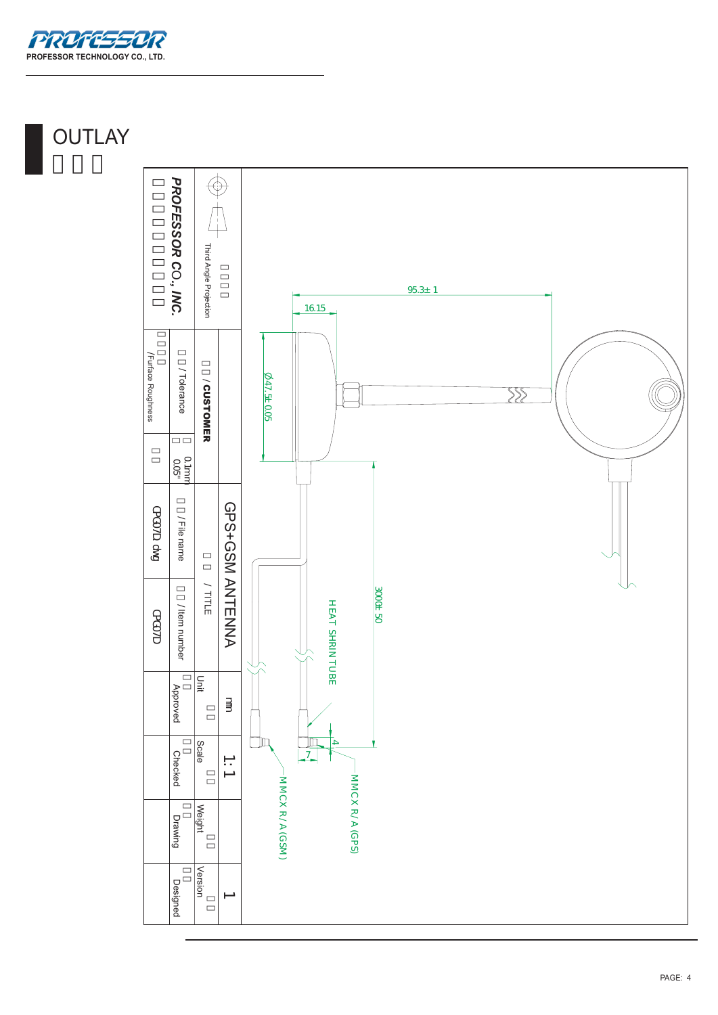

# **OUTLAY**

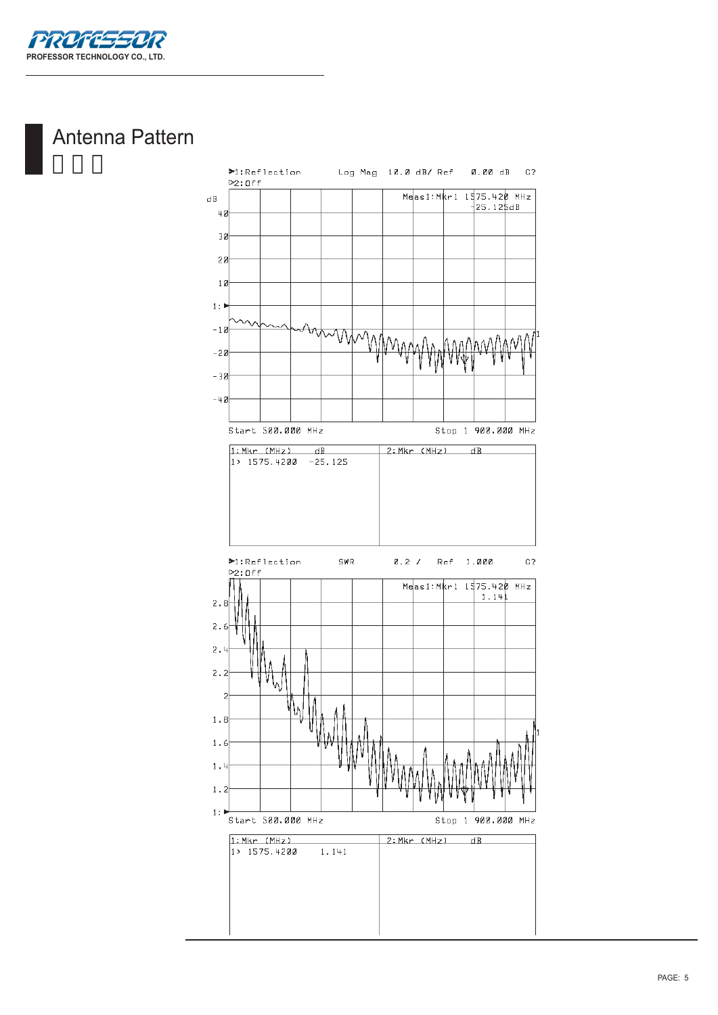

# Antenna Pattern

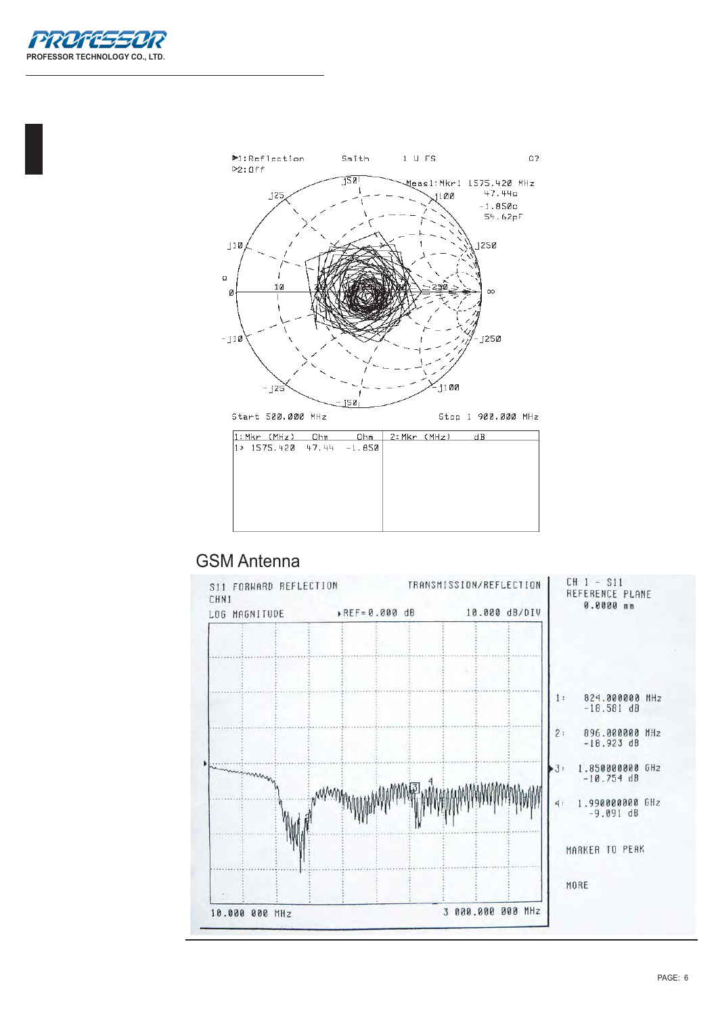



## GSM Antenna